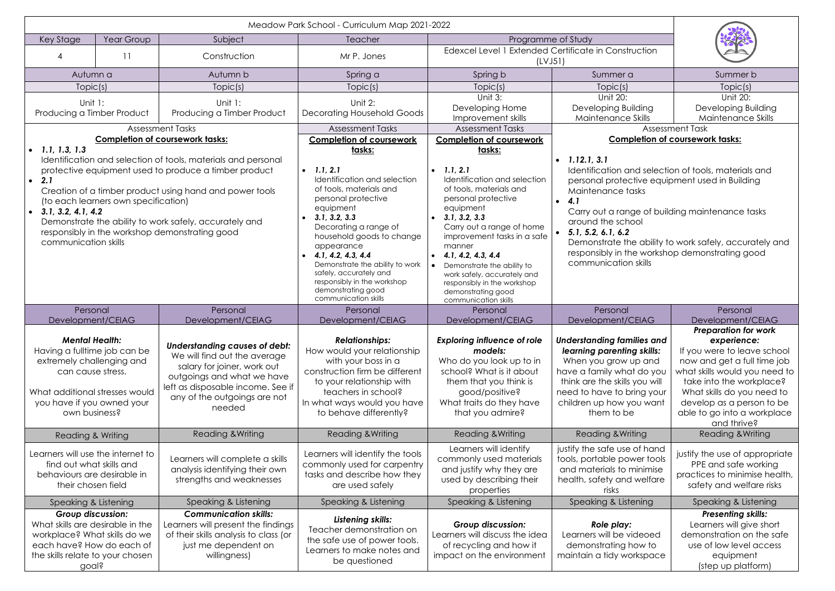| Key Stage                                                                                                                                                                                                                                                                                                                                                                                                            | Year Group | Subject                                                                                                                                                                                                          | Meadow Park School - Curriculum Map 2021-2022<br>Teacher                                                                                                                                                                                                                                                                                                                                         | Programme of Study                                                                                                                                                                                                                                                                                                                                                       |                                                                                                                                                                                                                                                                                                                                                                                               |                                                                                                                                                                                                                                                                                |
|----------------------------------------------------------------------------------------------------------------------------------------------------------------------------------------------------------------------------------------------------------------------------------------------------------------------------------------------------------------------------------------------------------------------|------------|------------------------------------------------------------------------------------------------------------------------------------------------------------------------------------------------------------------|--------------------------------------------------------------------------------------------------------------------------------------------------------------------------------------------------------------------------------------------------------------------------------------------------------------------------------------------------------------------------------------------------|--------------------------------------------------------------------------------------------------------------------------------------------------------------------------------------------------------------------------------------------------------------------------------------------------------------------------------------------------------------------------|-----------------------------------------------------------------------------------------------------------------------------------------------------------------------------------------------------------------------------------------------------------------------------------------------------------------------------------------------------------------------------------------------|--------------------------------------------------------------------------------------------------------------------------------------------------------------------------------------------------------------------------------------------------------------------------------|
| 4                                                                                                                                                                                                                                                                                                                                                                                                                    | 11         | Construction                                                                                                                                                                                                     | Mr P. Jones                                                                                                                                                                                                                                                                                                                                                                                      | Edexcel Level 1 Extended Certificate in Construction<br>(LVJ51)                                                                                                                                                                                                                                                                                                          |                                                                                                                                                                                                                                                                                                                                                                                               |                                                                                                                                                                                                                                                                                |
| Autumn a                                                                                                                                                                                                                                                                                                                                                                                                             |            | Autumn b                                                                                                                                                                                                         | Spring a                                                                                                                                                                                                                                                                                                                                                                                         | Spring b                                                                                                                                                                                                                                                                                                                                                                 | Summer a                                                                                                                                                                                                                                                                                                                                                                                      | Summer b                                                                                                                                                                                                                                                                       |
| Topic(s)                                                                                                                                                                                                                                                                                                                                                                                                             |            | Topic(s)                                                                                                                                                                                                         | Topic(s)                                                                                                                                                                                                                                                                                                                                                                                         | Topic(s)                                                                                                                                                                                                                                                                                                                                                                 | Topic(s)                                                                                                                                                                                                                                                                                                                                                                                      | Topic(s)                                                                                                                                                                                                                                                                       |
| Unit 1:<br>Producing a Timber Product                                                                                                                                                                                                                                                                                                                                                                                |            | Unit 1:<br>Producing a Timber Product                                                                                                                                                                            | Unit 2:<br><b>Decorating Household Goods</b>                                                                                                                                                                                                                                                                                                                                                     | Unit 3:<br>Developing Home<br>Improvement skills                                                                                                                                                                                                                                                                                                                         | Unit 20:<br>Developing Building<br>Maintenance Skills                                                                                                                                                                                                                                                                                                                                         | Unit 20:<br>Developing Building<br>Maintenance Skills                                                                                                                                                                                                                          |
|                                                                                                                                                                                                                                                                                                                                                                                                                      |            | <b>Assessment Tasks</b>                                                                                                                                                                                          | <b>Assessment Tasks</b>                                                                                                                                                                                                                                                                                                                                                                          | <b>Assessment Tasks</b>                                                                                                                                                                                                                                                                                                                                                  | <b>Assessment Task</b>                                                                                                                                                                                                                                                                                                                                                                        |                                                                                                                                                                                                                                                                                |
| 1.1, 1.3, 1.3                                                                                                                                                                                                                                                                                                                                                                                                        |            | <b>Completion of coursework tasks:</b>                                                                                                                                                                           | <b>Completion of coursework</b>                                                                                                                                                                                                                                                                                                                                                                  | <b>Completion of coursework</b>                                                                                                                                                                                                                                                                                                                                          | <b>Completion of coursework tasks:</b>                                                                                                                                                                                                                                                                                                                                                        |                                                                                                                                                                                                                                                                                |
| Identification and selection of tools, materials and personal<br>protective equipment used to produce a timber product<br>2.1<br>$\bullet$<br>Creation of a timber product using hand and power tools<br>(to each learners own specification)<br>3.1, 3.2, 4.1, 4.2<br>$\bullet$<br>Demonstrate the ability to work safely, accurately and<br>responsibly in the workshop demonstrating good<br>communication skills |            |                                                                                                                                                                                                                  | tasks:<br>1.1, 2.1<br>$\bullet$<br>Identification and selection<br>of tools, materials and<br>personal protective<br>equipment<br>3.1, 3.2, 3.3<br>$\bullet$<br>Decorating a range of<br>household goods to change<br>appearance<br>4.1, 4.2, 4.3, 4.4<br>Demonstrate the ability to work<br>safely, accurately and<br>responsibly in the workshop<br>demonstrating good<br>communication skills | tasks:<br>1.1, 2.1<br>Identification and selection<br>of tools, materials and<br>personal protective<br>equipment<br>3.1, 3.2, 3.3<br>Carry out a range of home<br>improvement tasks in a safe<br>manner<br>4.1, 4.2, 4.3, 4.4<br>Demonstrate the ability to<br>work safely, accurately and<br>responsibly in the workshop<br>demonstrating good<br>communication skills | $\bullet$ 1.12.1, 3.1<br>Identification and selection of tools, materials and<br>personal protective equipment used in Building<br>Maintenance tasks<br>4.1<br>Carry out a range of building maintenance tasks<br>around the school<br>5.1, 5.2, 6.1, 6.2<br>Demonstrate the ability to work safely, accurately and<br>responsibly in the workshop demonstrating good<br>communication skills |                                                                                                                                                                                                                                                                                |
| Personal                                                                                                                                                                                                                                                                                                                                                                                                             |            | Personal                                                                                                                                                                                                         | Personal                                                                                                                                                                                                                                                                                                                                                                                         | Personal                                                                                                                                                                                                                                                                                                                                                                 | Personal                                                                                                                                                                                                                                                                                                                                                                                      | Personal                                                                                                                                                                                                                                                                       |
| Development/CEIAG                                                                                                                                                                                                                                                                                                                                                                                                    |            | Development/CEIAG                                                                                                                                                                                                | Development/CEIAG                                                                                                                                                                                                                                                                                                                                                                                | Development/CEIAG                                                                                                                                                                                                                                                                                                                                                        | Development/CEIAG                                                                                                                                                                                                                                                                                                                                                                             | Development/CEIAG                                                                                                                                                                                                                                                              |
| <b>Mental Health:</b><br>Having a fulltime job can be<br>extremely challenging and<br>can cause stress.<br>What additional stresses would<br>you have if you owned your<br>own business?                                                                                                                                                                                                                             |            | <b>Understanding causes of debt:</b><br>We will find out the average<br>salary for joiner, work out<br>outgoings and what we have<br>left as disposable income. See if<br>any of the outgoings are not<br>needed | <b>Relationships:</b><br>How would your relationship<br>with your boss in a<br>construction firm be different<br>to your relationship with<br>teachers in school?<br>In what ways would you have<br>to behave differently?                                                                                                                                                                       | <b>Exploring influence of role</b><br>models:<br>Who do you look up to in<br>school? What is it about<br>them that you think is<br>good/positive?<br>What traits do they have<br>that you admire?                                                                                                                                                                        | Understanding families and<br>learning parenting skills:<br>When you grow up and<br>have a family what do you<br>think are the skills you will<br>need to have to bring your<br>children up how you want<br>them to be                                                                                                                                                                        | <b>Preparation for work</b><br>experience:<br>If you were to leave school<br>now and get a full time job<br>what skills would you need to<br>take into the workplace?<br>What skills do you need to<br>develop as a person to be<br>able to go into a workplace<br>and thrive? |
| <b>Reading &amp; Writing</b>                                                                                                                                                                                                                                                                                                                                                                                         |            | Reading & Writing                                                                                                                                                                                                | <b>Reading &amp; Writing</b>                                                                                                                                                                                                                                                                                                                                                                     | Reading & Writing                                                                                                                                                                                                                                                                                                                                                        | <b>Reading &amp; Writing</b>                                                                                                                                                                                                                                                                                                                                                                  | Reading & Writing                                                                                                                                                                                                                                                              |
| Learners will use the internet to<br>find out what skills and<br>behaviours are desirable in<br>their chosen field                                                                                                                                                                                                                                                                                                   |            | Learners will complete a skills<br>analysis identifying their own<br>strengths and weaknesses                                                                                                                    | Learners will identify the tools<br>commonly used for carpentry<br>tasks and describe how they<br>are used safely                                                                                                                                                                                                                                                                                | Learners will identify<br>commonly used materials<br>and justify why they are<br>used by describing their<br>properties                                                                                                                                                                                                                                                  | justify the safe use of hand<br>tools, portable power tools<br>and materials to minimise<br>health, safety and welfare<br>risks                                                                                                                                                                                                                                                               | justify the use of appropriate<br>PPE and safe working<br>practices to minimise health,<br>safety and welfare risks                                                                                                                                                            |
| Speaking & Listening                                                                                                                                                                                                                                                                                                                                                                                                 |            | Speaking & Listening                                                                                                                                                                                             | Speaking & Listening                                                                                                                                                                                                                                                                                                                                                                             | Speaking & Listening                                                                                                                                                                                                                                                                                                                                                     | Speaking & Listening                                                                                                                                                                                                                                                                                                                                                                          | Speaking & Listening                                                                                                                                                                                                                                                           |
| <b>Group discussion:</b><br>What skills are desirable in the<br>workplace? What skills do we<br>each have? How do each of<br>the skills relate to your chosen<br>goal?                                                                                                                                                                                                                                               |            | <b>Communication skills:</b><br>Learners will present the findings<br>of their skills analysis to class (or<br>just me dependent on<br>willingness)                                                              | Listening skills:<br>Teacher demonstration on<br>the safe use of power tools.<br>Learners to make notes and<br>be questioned                                                                                                                                                                                                                                                                     | Group discussion:<br>Learners will discuss the idea<br>of recycling and how it<br>impact on the environment                                                                                                                                                                                                                                                              | Role play:<br>Learners will be videoed<br>demonstrating how to<br>maintain a tidy workspace                                                                                                                                                                                                                                                                                                   | <b>Presenting skills:</b><br>Learners will give short<br>demonstration on the safe<br>use of low level access<br>equipment<br>(step up platform)                                                                                                                               |

| ruction                                                                                |                                                       |  |  |  |  |  |  |  |
|----------------------------------------------------------------------------------------|-------------------------------------------------------|--|--|--|--|--|--|--|
| J                                                                                      | Summer b                                              |  |  |  |  |  |  |  |
|                                                                                        | Topic(s)                                              |  |  |  |  |  |  |  |
| vilding<br><b>Skills</b>                                                               | Unit 20:<br>Developing Building<br>Maintenance Skills |  |  |  |  |  |  |  |
|                                                                                        | <b>Assessment Task</b>                                |  |  |  |  |  |  |  |
|                                                                                        | <u>pletion of coursework tasks:</u>                   |  |  |  |  |  |  |  |
|                                                                                        |                                                       |  |  |  |  |  |  |  |
| nd selection of tools, materials and<br>ctive equipment used in Building<br>asks       |                                                       |  |  |  |  |  |  |  |
| ge of building maintenance tasks<br>ool                                                |                                                       |  |  |  |  |  |  |  |
| e ability to work safely, accurately and<br>he workshop demonstrating good<br>า skills |                                                       |  |  |  |  |  |  |  |
|                                                                                        |                                                       |  |  |  |  |  |  |  |
|                                                                                        | Personal                                              |  |  |  |  |  |  |  |
| CEIAG                                                                                  | Development/CEIAG                                     |  |  |  |  |  |  |  |
|                                                                                        | <b>Preparation for work</b>                           |  |  |  |  |  |  |  |
| nilies and                                                                             | experience:                                           |  |  |  |  |  |  |  |
| ıg skills:                                                                             | If you were to leave school                           |  |  |  |  |  |  |  |
| up and                                                                                 | now and get a full time job                           |  |  |  |  |  |  |  |
| uoy ob tr                                                                              | what skills would you need to                         |  |  |  |  |  |  |  |
| you will                                                                               | take into the workplace?                              |  |  |  |  |  |  |  |
| ring your                                                                              | What skills do you need to                            |  |  |  |  |  |  |  |
|                                                                                        |                                                       |  |  |  |  |  |  |  |